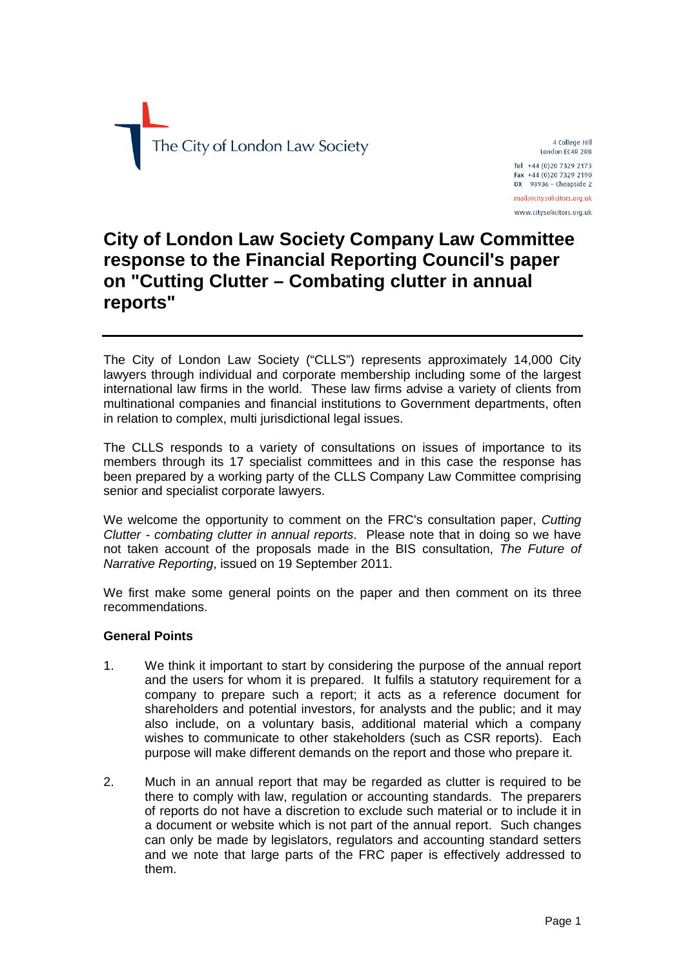

4 College Hill London EC4R 2RB Tel +44 (0)20 7329 2173 Fax +44 (0)20 7329 2190  $DX$  98936 - Cheapside 2 mail@citysolicitors.org.uk www.citysolicitors.org.uk

# **City of London Law Society Company Law Committee response to the Financial Reporting Council's paper on "Cutting Clutter – Combating clutter in annual reports"**

The City of London Law Society ("CLLS") represents approximately 14,000 City lawyers through individual and corporate membership including some of the largest international law firms in the world. These law firms advise a variety of clients from multinational companies and financial institutions to Government departments, often in relation to complex, multi jurisdictional legal issues.

The CLLS responds to a variety of consultations on issues of importance to its members through its 17 specialist committees and in this case the response has been prepared by a working party of the CLLS Company Law Committee comprising senior and specialist corporate lawyers.

We welcome the opportunity to comment on the FRC's consultation paper, *Cutting Clutter - combating clutter in annual reports*. Please note that in doing so we have not taken account of the proposals made in the BIS consultation, *The Future of Narrative Reporting*, issued on 19 September 2011.

We first make some general points on the paper and then comment on its three recommendations.

# **General Points**

- 1. We think it important to start by considering the purpose of the annual report and the users for whom it is prepared. It fulfils a statutory requirement for a company to prepare such a report; it acts as a reference document for shareholders and potential investors, for analysts and the public; and it may also include, on a voluntary basis, additional material which a company wishes to communicate to other stakeholders (such as CSR reports). Each purpose will make different demands on the report and those who prepare it.
- 2. Much in an annual report that may be regarded as clutter is required to be there to comply with law, regulation or accounting standards. The preparers of reports do not have a discretion to exclude such material or to include it in a document or website which is not part of the annual report. Such changes can only be made by legislators, regulators and accounting standard setters and we note that large parts of the FRC paper is effectively addressed to them.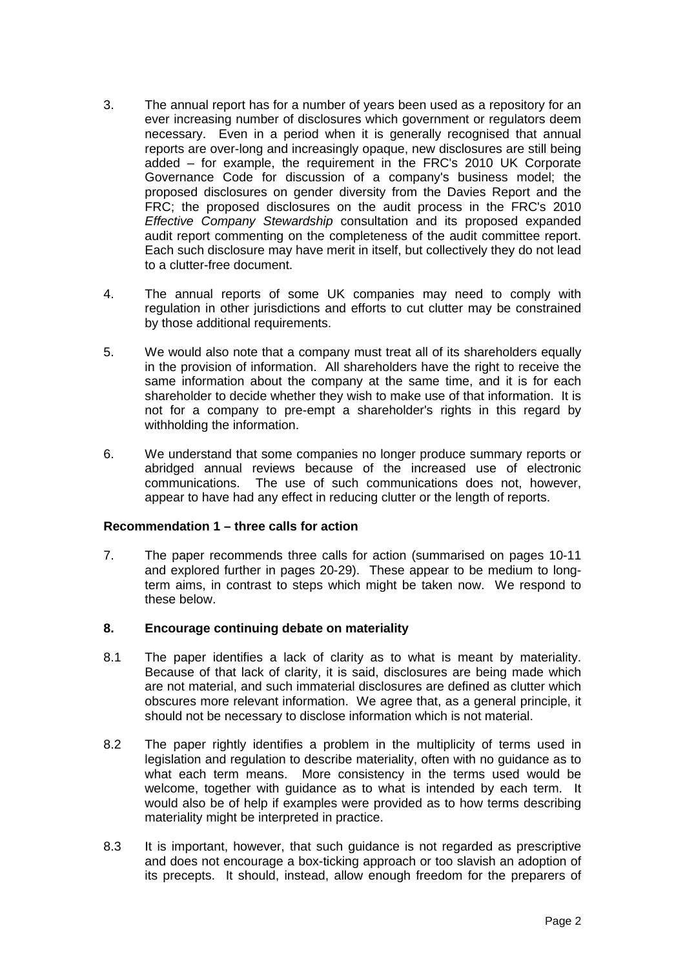- 3. The annual report has for a number of years been used as a repository for an ever increasing number of disclosures which government or regulators deem necessary. Even in a period when it is generally recognised that annual reports are over-long and increasingly opaque, new disclosures are still being added – for example, the requirement in the FRC's 2010 UK Corporate Governance Code for discussion of a company's business model; the proposed disclosures on gender diversity from the Davies Report and the FRC; the proposed disclosures on the audit process in the FRC's 2010 *Effective Company Stewardship* consultation and its proposed expanded audit report commenting on the completeness of the audit committee report. Each such disclosure may have merit in itself, but collectively they do not lead to a clutter-free document.
- 4. The annual reports of some UK companies may need to comply with regulation in other jurisdictions and efforts to cut clutter may be constrained by those additional requirements.
- 5. We would also note that a company must treat all of its shareholders equally in the provision of information. All shareholders have the right to receive the same information about the company at the same time, and it is for each shareholder to decide whether they wish to make use of that information. It is not for a company to pre-empt a shareholder's rights in this regard by withholding the information.
- 6. We understand that some companies no longer produce summary reports or abridged annual reviews because of the increased use of electronic communications. The use of such communications does not, however, appear to have had any effect in reducing clutter or the length of reports.

### **Recommendation 1 – three calls for action**

7. The paper recommends three calls for action (summarised on pages 10-11 and explored further in pages 20-29). These appear to be medium to longterm aims, in contrast to steps which might be taken now. We respond to these below.

# **8. Encourage continuing debate on materiality**

- 8.1 The paper identifies a lack of clarity as to what is meant by materiality. Because of that lack of clarity, it is said, disclosures are being made which are not material, and such immaterial disclosures are defined as clutter which obscures more relevant information. We agree that, as a general principle, it should not be necessary to disclose information which is not material.
- 8.2 The paper rightly identifies a problem in the multiplicity of terms used in legislation and regulation to describe materiality, often with no guidance as to what each term means. More consistency in the terms used would be welcome, together with guidance as to what is intended by each term. It would also be of help if examples were provided as to how terms describing materiality might be interpreted in practice.
- 8.3 It is important, however, that such guidance is not regarded as prescriptive and does not encourage a box-ticking approach or too slavish an adoption of its precepts. It should, instead, allow enough freedom for the preparers of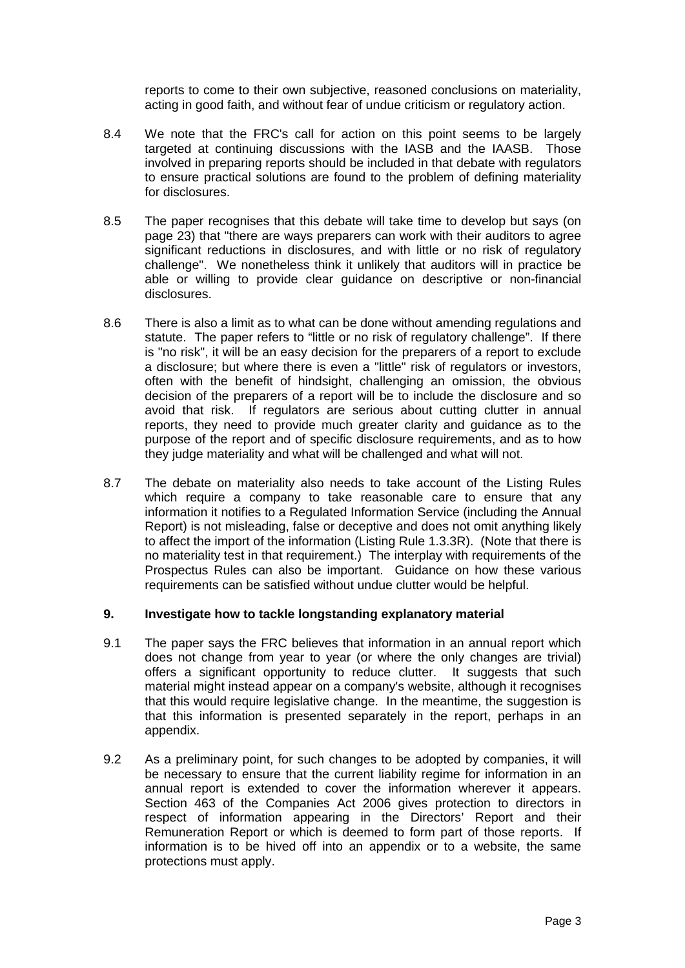reports to come to their own subjective, reasoned conclusions on materiality, acting in good faith, and without fear of undue criticism or regulatory action.

- 8.4 We note that the FRC's call for action on this point seems to be largely targeted at continuing discussions with the IASB and the IAASB. Those involved in preparing reports should be included in that debate with regulators to ensure practical solutions are found to the problem of defining materiality for disclosures.
- 8.5 The paper recognises that this debate will take time to develop but says (on page 23) that "there are ways preparers can work with their auditors to agree significant reductions in disclosures, and with little or no risk of regulatory challenge". We nonetheless think it unlikely that auditors will in practice be able or willing to provide clear guidance on descriptive or non-financial disclosures.
- 8.6 There is also a limit as to what can be done without amending regulations and statute. The paper refers to "little or no risk of regulatory challenge". If there is "no risk", it will be an easy decision for the preparers of a report to exclude a disclosure; but where there is even a "little" risk of regulators or investors, often with the benefit of hindsight, challenging an omission, the obvious decision of the preparers of a report will be to include the disclosure and so avoid that risk. If regulators are serious about cutting clutter in annual reports, they need to provide much greater clarity and guidance as to the purpose of the report and of specific disclosure requirements, and as to how they judge materiality and what will be challenged and what will not.
- 8.7 The debate on materiality also needs to take account of the Listing Rules which require a company to take reasonable care to ensure that any information it notifies to a Regulated Information Service (including the Annual Report) is not misleading, false or deceptive and does not omit anything likely to affect the import of the information (Listing Rule 1.3.3R). (Note that there is no materiality test in that requirement.) The interplay with requirements of the Prospectus Rules can also be important. Guidance on how these various requirements can be satisfied without undue clutter would be helpful.

### **9. Investigate how to tackle longstanding explanatory material**

- 9.1 The paper says the FRC believes that information in an annual report which does not change from year to year (or where the only changes are trivial) offers a significant opportunity to reduce clutter. It suggests that such material might instead appear on a company's website, although it recognises that this would require legislative change. In the meantime, the suggestion is that this information is presented separately in the report, perhaps in an appendix.
- 9.2 As a preliminary point, for such changes to be adopted by companies, it will be necessary to ensure that the current liability regime for information in an annual report is extended to cover the information wherever it appears. Section 463 of the Companies Act 2006 gives protection to directors in respect of information appearing in the Directors' Report and their Remuneration Report or which is deemed to form part of those reports. If information is to be hived off into an appendix or to a website, the same protections must apply.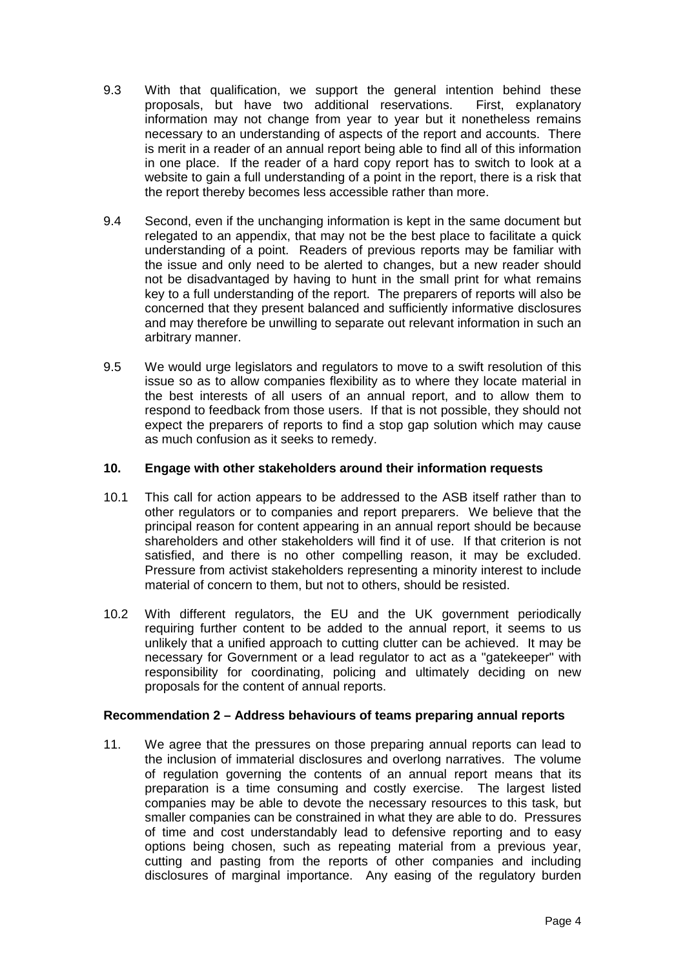- 9.3 With that qualification, we support the general intention behind these proposals, but have two additional reservations. First, explanatory information may not change from year to year but it nonetheless remains necessary to an understanding of aspects of the report and accounts. There is merit in a reader of an annual report being able to find all of this information in one place. If the reader of a hard copy report has to switch to look at a website to gain a full understanding of a point in the report, there is a risk that the report thereby becomes less accessible rather than more.
- 9.4 Second, even if the unchanging information is kept in the same document but relegated to an appendix, that may not be the best place to facilitate a quick understanding of a point. Readers of previous reports may be familiar with the issue and only need to be alerted to changes, but a new reader should not be disadvantaged by having to hunt in the small print for what remains key to a full understanding of the report. The preparers of reports will also be concerned that they present balanced and sufficiently informative disclosures and may therefore be unwilling to separate out relevant information in such an arbitrary manner.
- 9.5 We would urge legislators and regulators to move to a swift resolution of this issue so as to allow companies flexibility as to where they locate material in the best interests of all users of an annual report, and to allow them to respond to feedback from those users. If that is not possible, they should not expect the preparers of reports to find a stop gap solution which may cause as much confusion as it seeks to remedy.

# **10. Engage with other stakeholders around their information requests**

- 10.1 This call for action appears to be addressed to the ASB itself rather than to other regulators or to companies and report preparers. We believe that the principal reason for content appearing in an annual report should be because shareholders and other stakeholders will find it of use. If that criterion is not satisfied, and there is no other compelling reason, it may be excluded. Pressure from activist stakeholders representing a minority interest to include material of concern to them, but not to others, should be resisted.
- 10.2 With different regulators, the EU and the UK government periodically requiring further content to be added to the annual report, it seems to us unlikely that a unified approach to cutting clutter can be achieved. It may be necessary for Government or a lead regulator to act as a "gatekeeper" with responsibility for coordinating, policing and ultimately deciding on new proposals for the content of annual reports.

### **Recommendation 2 – Address behaviours of teams preparing annual reports**

11. We agree that the pressures on those preparing annual reports can lead to the inclusion of immaterial disclosures and overlong narratives. The volume of regulation governing the contents of an annual report means that its preparation is a time consuming and costly exercise. The largest listed companies may be able to devote the necessary resources to this task, but smaller companies can be constrained in what they are able to do. Pressures of time and cost understandably lead to defensive reporting and to easy options being chosen, such as repeating material from a previous year, cutting and pasting from the reports of other companies and including disclosures of marginal importance. Any easing of the regulatory burden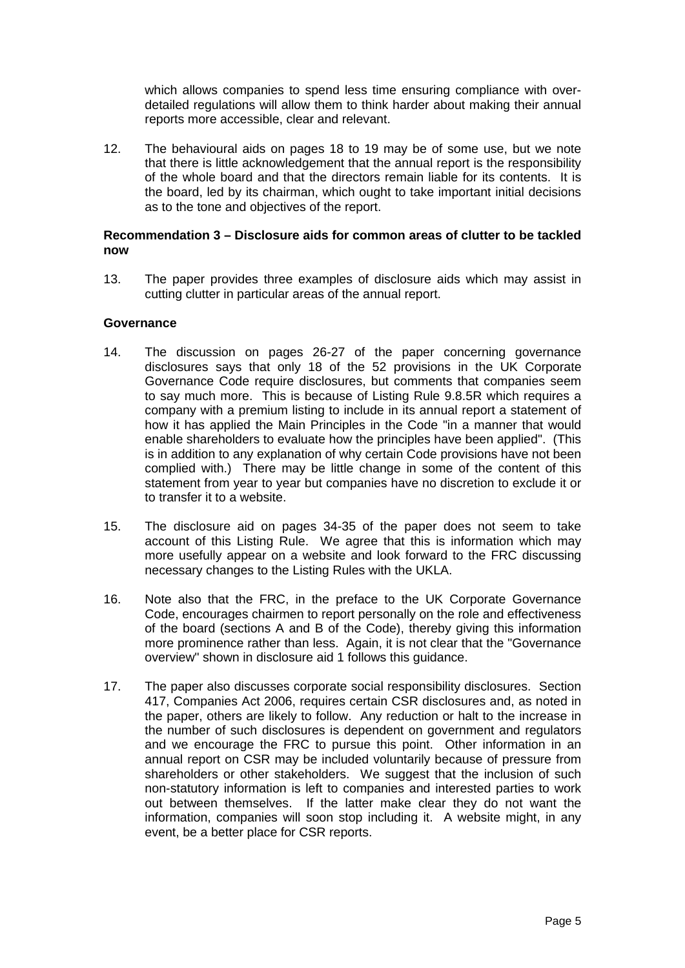which allows companies to spend less time ensuring compliance with overdetailed regulations will allow them to think harder about making their annual reports more accessible, clear and relevant.

12. The behavioural aids on pages 18 to 19 may be of some use, but we note that there is little acknowledgement that the annual report is the responsibility of the whole board and that the directors remain liable for its contents. It is the board, led by its chairman, which ought to take important initial decisions as to the tone and objectives of the report.

## **Recommendation 3 – Disclosure aids for common areas of clutter to be tackled now**

13. The paper provides three examples of disclosure aids which may assist in cutting clutter in particular areas of the annual report.

## **Governance**

- 14. The discussion on pages 26-27 of the paper concerning governance disclosures says that only 18 of the 52 provisions in the UK Corporate Governance Code require disclosures, but comments that companies seem to say much more. This is because of Listing Rule 9.8.5R which requires a company with a premium listing to include in its annual report a statement of how it has applied the Main Principles in the Code "in a manner that would enable shareholders to evaluate how the principles have been applied". (This is in addition to any explanation of why certain Code provisions have not been complied with.) There may be little change in some of the content of this statement from year to year but companies have no discretion to exclude it or to transfer it to a website.
- 15. The disclosure aid on pages 34-35 of the paper does not seem to take account of this Listing Rule. We agree that this is information which may more usefully appear on a website and look forward to the FRC discussing necessary changes to the Listing Rules with the UKLA.
- 16. Note also that the FRC, in the preface to the UK Corporate Governance Code, encourages chairmen to report personally on the role and effectiveness of the board (sections A and B of the Code), thereby giving this information more prominence rather than less. Again, it is not clear that the "Governance overview" shown in disclosure aid 1 follows this guidance.
- 17. The paper also discusses corporate social responsibility disclosures. Section 417, Companies Act 2006, requires certain CSR disclosures and, as noted in the paper, others are likely to follow. Any reduction or halt to the increase in the number of such disclosures is dependent on government and regulators and we encourage the FRC to pursue this point. Other information in an annual report on CSR may be included voluntarily because of pressure from shareholders or other stakeholders. We suggest that the inclusion of such non-statutory information is left to companies and interested parties to work out between themselves. If the latter make clear they do not want the information, companies will soon stop including it. A website might, in any event, be a better place for CSR reports.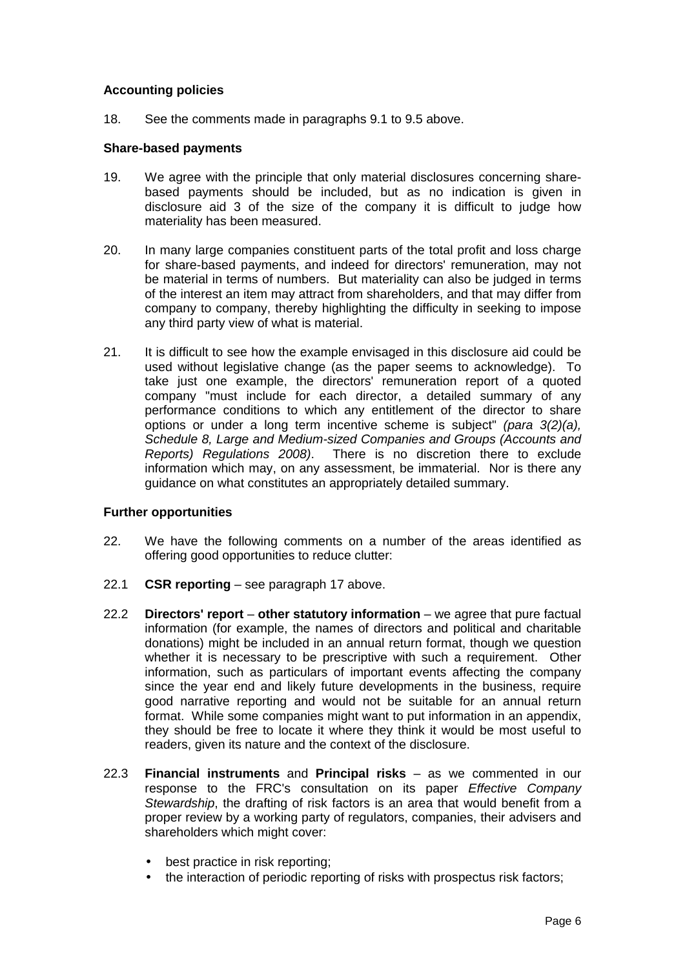# **Accounting policies**

18. See the comments made in paragraphs 9.1 to 9.5 above.

## **Share-based payments**

- 19. We agree with the principle that only material disclosures concerning sharebased payments should be included, but as no indication is given in disclosure aid 3 of the size of the company it is difficult to judge how materiality has been measured.
- 20. In many large companies constituent parts of the total profit and loss charge for share-based payments, and indeed for directors' remuneration, may not be material in terms of numbers. But materiality can also be judged in terms of the interest an item may attract from shareholders, and that may differ from company to company, thereby highlighting the difficulty in seeking to impose any third party view of what is material.
- 21. It is difficult to see how the example envisaged in this disclosure aid could be used without legislative change (as the paper seems to acknowledge). To take just one example, the directors' remuneration report of a quoted company "must include for each director, a detailed summary of any performance conditions to which any entitlement of the director to share options or under a long term incentive scheme is subject" *(para 3(2)(a), Schedule 8, Large and Medium-sized Companies and Groups (Accounts and Reports) Regulations 2008)*. There is no discretion there to exclude information which may, on any assessment, be immaterial. Nor is there any guidance on what constitutes an appropriately detailed summary.

# **Further opportunities**

- 22. We have the following comments on a number of the areas identified as offering good opportunities to reduce clutter:
- 22.1 **CSR reporting** see paragraph 17 above.
- 22.2 **Directors' report other statutory information** we agree that pure factual information (for example, the names of directors and political and charitable donations) might be included in an annual return format, though we question whether it is necessary to be prescriptive with such a requirement. Other information, such as particulars of important events affecting the company since the year end and likely future developments in the business, require good narrative reporting and would not be suitable for an annual return format. While some companies might want to put information in an appendix, they should be free to locate it where they think it would be most useful to readers, given its nature and the context of the disclosure.
- 22.3 **Financial instruments** and **Principal risks** as we commented in our response to the FRC's consultation on its paper *Effective Company Stewardship*, the drafting of risk factors is an area that would benefit from a proper review by a working party of regulators, companies, their advisers and shareholders which might cover:
	- best practice in risk reporting;
	- the interaction of periodic reporting of risks with prospectus risk factors;